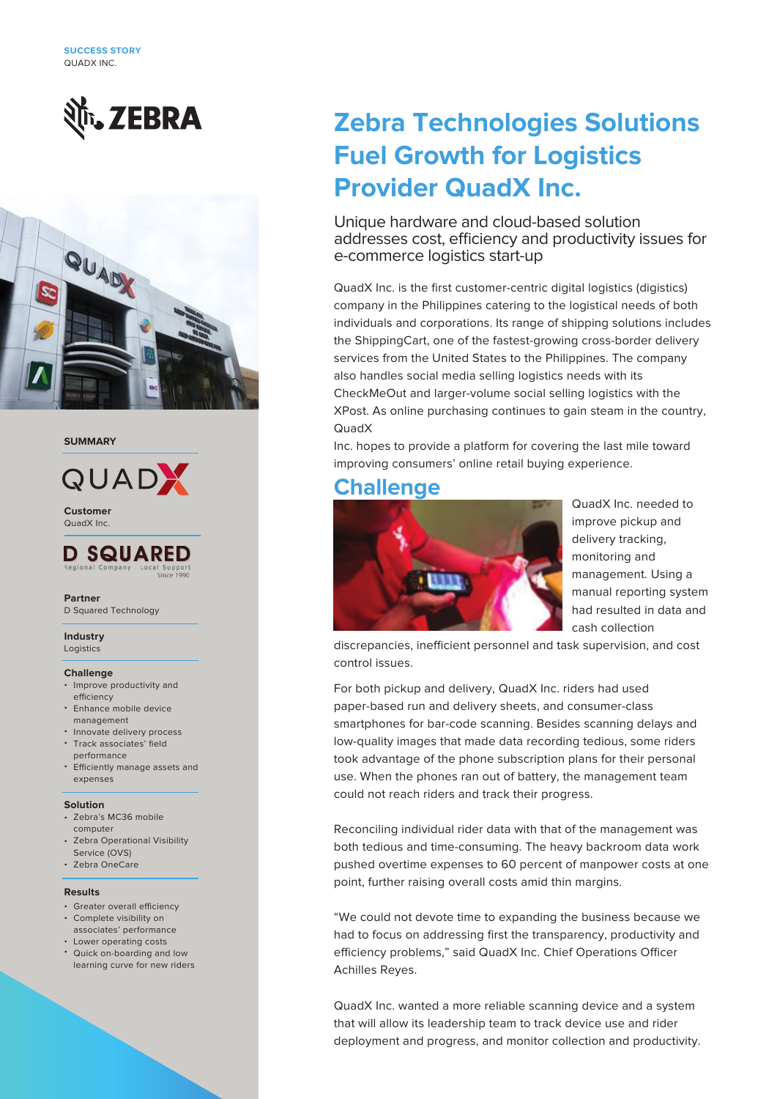



#### **SUMMARY**



QuadX Inc. **Customer**



#### **Partner**

D Squared Technology

#### **Industry**

**Logistics** 

#### **Challenge**

- Improve productivity and efficiency
- Enhance mobile device management
- Innovate delivery process • Track associates' field
- performance
- Efficiently manage assets and expenses

#### **Solution**

- Zebra's MC36 mobile computer
- Zebra Operational Visibility Service (OVS)
- Zebra OneCare

#### **Results**

- Greater overall efficiency
- Complete visibility on associates' performance
- Lower operating costs •
- Quick on-boarding and low learning curve for new riders

# **Zebra Technologies Solutions Fuel Growth for Logistics Provider QuadX Inc.**

Unique hardware and cloud-based solution addresses cost, efficiency and productivity issues for e-commerce logistics start-up

QuadX Inc. is the first customer-centric digital logistics (digistics) company in the Philippines catering to the logistical needs of both individuals and corporations. Its range of shipping solutions includes the ShippingCart, one of the fastest-growing cross-border delivery services from the United States to the Philippines. The company also handles social media selling logistics needs with its CheckMeOut and larger-volume social selling logistics with the XPost. As online purchasing continues to gain steam in the country, QuadX

Inc. hopes to provide a platform for covering the last mile toward improving consumers' online retail buying experience.

### **Challenge**



QuadX Inc. needed to improve pickup and delivery tracking, monitoring and management. Using a manual reporting system had resulted in data and cash collection

discrepancies, inefficient personnel and task supervision, and cost control issues.

For both pickup and delivery, QuadX Inc. riders had used paper-based run and delivery sheets, and consumer-class smartphones for bar-code scanning. Besides scanning delays and low-quality images that made data recording tedious, some riders took advantage of the phone subscription plans for their personal use. When the phones ran out of battery, the management team could not reach riders and track their progress.

Reconciling individual rider data with that of the management was both tedious and time-consuming. The heavy backroom data work pushed overtime expenses to 60 percent of manpower costs at one point, further raising overall costs amid thin margins.

"We could not devote time to expanding the business because we had to focus on addressing first the transparency, productivity and efficiency problems," said QuadX Inc. Chief Operations Officer Achilles Reyes.

QuadX Inc. wanted a more reliable scanning device and a system that will allow its leadership team to track device use and rider deployment and progress, and monitor collection and productivity.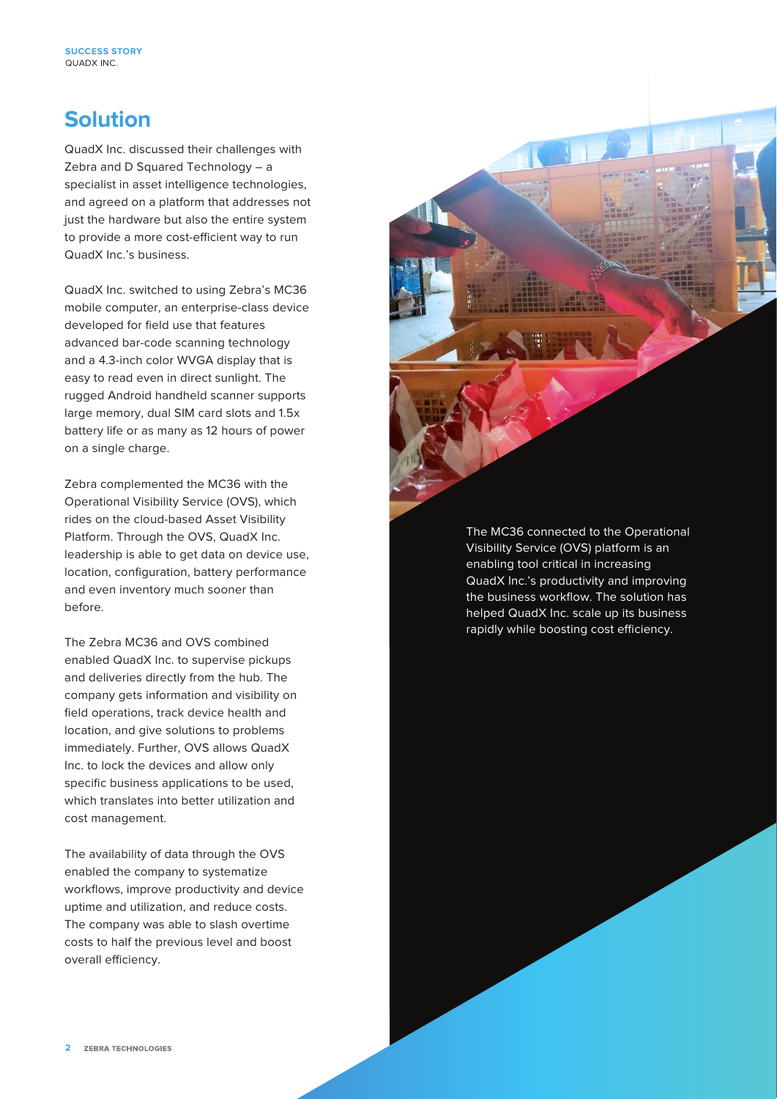## **Solution**

QuadX Inc. discussed their challenges with Zebra and D Squared Technology – a specialist in asset intelligence technologies, and agreed on a platform that addresses not just the hardware but also the entire system to provide a more cost-efficient way to run QuadX Inc.'s business.

QuadX Inc. switched to using Zebra's MC36 mobile computer, an enterprise-class device developed for field use that features advanced bar-code scanning technology and a 4.3-inch color WVGA display that is easy to read even in direct sunlight. The rugged Android handheld scanner supports large memory, dual SIM card slots and 1.5x battery life or as many as 12 hours of power on a single charge.

Zebra complemented the MC36 with the Operational Visibility Service (OVS), which rides on the cloud-based Asset Visibility Platform. Through the OVS, QuadX Inc. leadership is able to get data on device use, location, configuration, battery performance and even inventory much sooner than before.

The Zebra MC36 and OVS combined enabled QuadX Inc. to supervise pickups and deliveries directly from the hub. The company gets information and visibility on field operations, track device health and location, and give solutions to problems immediately. Further, OVS allows QuadX Inc. to lock the devices and allow only specific business applications to be used, which translates into better utilization and cost management.

The availability of data through the OVS enabled the company to systematize workflows, improve productivity and device uptime and utilization, and reduce costs. The company was able to slash overtime costs to half the previous level and boost overall efficiency.

The MC36 connected to the Operational Visibility Service (OVS) platform is an enabling tool critical in increasing QuadX Inc.'s productivity and improving the business workflow. The solution has helped QuadX Inc. scale up its business rapidly while boosting cost efficiency.